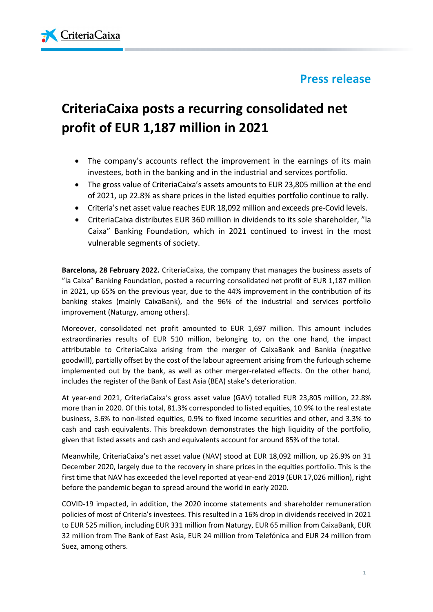## **Press release**



# **CriteriaCaixa posts a recurring consolidated net profit of EUR 1,187 million in 2021**

- The company's accounts reflect the improvement in the earnings of its main investees, both in the banking and in the industrial and services portfolio.
- The gross value of CriteriaCaixa's assets amounts to EUR 23,805 million at the end of 2021, up 22.8% as share prices in the listed equities portfolio continue to rally.
- Criteria's net asset value reaches EUR 18,092 million and exceeds pre-Covid levels.
- CriteriaCaixa distributes EUR 360 million in dividends to its sole shareholder, "la Caixa" Banking Foundation, which in 2021 continued to invest in the most vulnerable segments of society.

**Barcelona, 28 February 2022.** CriteriaCaixa, the company that manages the business assets of "la Caixa" Banking Foundation, posted a recurring consolidated net profit of EUR 1,187 million in 2021, up 65% on the previous year, due to the 44% improvement in the contribution of its banking stakes (mainly CaixaBank), and the 96% of the industrial and services portfolio improvement (Naturgy, among others).

Moreover, consolidated net profit amounted to EUR 1,697 million. This amount includes extraordinaries results of EUR 510 million, belonging to, on the one hand, the impact attributable to CriteriaCaixa arising from the merger of CaixaBank and Bankia (negative goodwill), partially offset by the cost of the labour agreement arising from the furlough scheme implemented out by the bank, as well as other merger-related effects. On the other hand, includes the register of the Bank of East Asia (BEA) stake's deterioration.

At year-end 2021, CriteriaCaixa's gross asset value (GAV) totalled EUR 23,805 million, 22.8% more than in 2020. Of this total, 81.3% corresponded to listed equities, 10.9% to the real estate business, 3.6% to non-listed equities, 0.9% to fixed income securities and other, and 3.3% to cash and cash equivalents. This breakdown demonstrates the high liquidity of the portfolio, given that listed assets and cash and equivalents account for around 85% of the total.

Meanwhile, CriteriaCaixa's net asset value (NAV) stood at EUR 18,092 million, up 26.9% on 31 December 2020, largely due to the recovery in share prices in the equities portfolio. This is the first time that NAV has exceeded the level reported at year-end 2019 (EUR 17,026 million), right before the pandemic began to spread around the world in early 2020.

COVID-19 impacted, in addition, the 2020 income statements and shareholder remuneration policies of most of Criteria's investees. This resulted in a 16% drop in dividends received in 2021 to EUR 525 million, including EUR 331 million from Naturgy, EUR 65 million from CaixaBank, EUR 32 million from The Bank of East Asia, EUR 24 million from Telefónica and EUR 24 million from Suez, among others.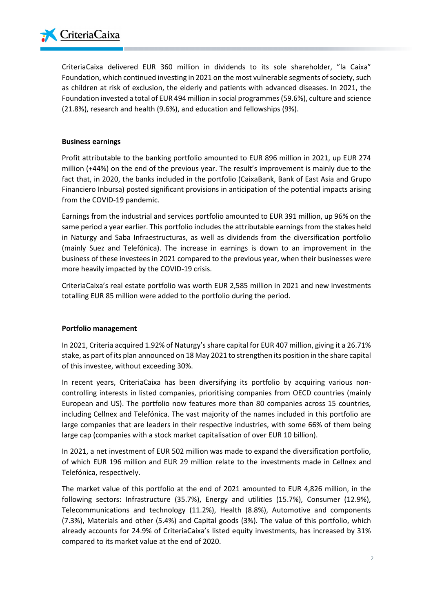

CriteriaCaixa delivered EUR 360 million in dividends to its sole shareholder, "la Caixa" Foundation, which continued investing in 2021 on the most vulnerable segments of society, such as children at risk of exclusion, the elderly and patients with advanced diseases. In 2021, the Foundation invested a total of EUR 494 million in social programmes (59.6%), culture and science (21.8%), research and health (9.6%), and education and fellowships (9%).

#### **Business earnings**

Profit attributable to the banking portfolio amounted to EUR 896 million in 2021, up EUR 274 million (+44%) on the end of the previous year. The result's improvement is mainly due to the fact that, in 2020, the banks included in the portfolio (CaixaBank, Bank of East Asia and Grupo Financiero Inbursa) posted significant provisions in anticipation of the potential impacts arising from the COVID-19 pandemic.

Earnings from the industrial and services portfolio amounted to EUR 391 million, up 96% on the same period a year earlier. This portfolio includes the attributable earnings from the stakes held in Naturgy and Saba Infraestructuras, as well as dividends from the diversification portfolio (mainly Suez and Telefónica). The increase in earnings is down to an improvement in the business of these investees in 2021 compared to the previous year, when their businesses were more heavily impacted by the COVID-19 crisis.

CriteriaCaixa's real estate portfolio was worth EUR 2,585 million in 2021 and new investments totalling EUR 85 million were added to the portfolio during the period.

#### **Portfolio management**

In 2021, Criteria acquired 1.92% of Naturgy's share capital for EUR 407 million, giving it a 26.71% stake, as part of its plan announced on 18 May 2021 to strengthen its position in the share capital of this investee, without exceeding 30%.

In recent years, CriteriaCaixa has been diversifying its portfolio by acquiring various noncontrolling interests in listed companies, prioritising companies from OECD countries (mainly European and US). The portfolio now features more than 80 companies across 15 countries, including Cellnex and Telefónica. The vast majority of the names included in this portfolio are large companies that are leaders in their respective industries, with some 66% of them being large cap (companies with a stock market capitalisation of over EUR 10 billion).

In 2021, a net investment of EUR 502 million was made to expand the diversification portfolio, of which EUR 196 million and EUR 29 million relate to the investments made in Cellnex and Telefónica, respectively.

The market value of this portfolio at the end of 2021 amounted to EUR 4,826 million, in the following sectors: Infrastructure (35.7%), Energy and utilities (15.7%), Consumer (12.9%), Telecommunications and technology (11.2%), Health (8.8%), Automotive and components (7.3%), Materials and other (5.4%) and Capital goods (3%). The value of this portfolio, which already accounts for 24.9% of CriteriaCaixa's listed equity investments, has increased by 31% compared to its market value at the end of 2020.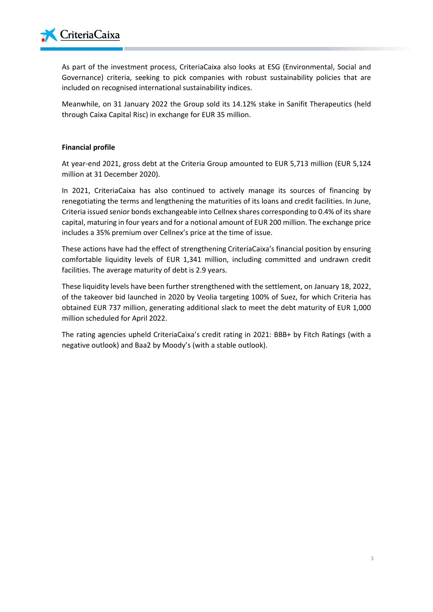

As part of the investment process, CriteriaCaixa also looks at ESG (Environmental, Social and Governance) criteria, seeking to pick companies with robust sustainability policies that are included on recognised international sustainability indices.

Meanwhile, on 31 January 2022 the Group sold its 14.12% stake in Sanifit Therapeutics (held through Caixa Capital Risc) in exchange for EUR 35 million.

#### **Financial profile**

At year-end 2021, gross debt at the Criteria Group amounted to EUR 5,713 million (EUR 5,124 million at 31 December 2020).

In 2021, CriteriaCaixa has also continued to actively manage its sources of financing by renegotiating the terms and lengthening the maturities of its loans and credit facilities. In June, Criteria issued senior bonds exchangeable into Cellnex shares corresponding to 0.4% of its share capital, maturing in four years and for a notional amount of EUR 200 million. The exchange price includes a 35% premium over Cellnex's price at the time of issue.

These actions have had the effect of strengthening CriteriaCaixa's financial position by ensuring comfortable liquidity levels of EUR 1,341 million, including committed and undrawn credit facilities. The average maturity of debt is 2.9 years.

These liquidity levels have been further strengthened with the settlement, on January 18, 2022, of the takeover bid launched in 2020 by Veolia targeting 100% of Suez, for which Criteria has obtained EUR 737 million, generating additional slack to meet the debt maturity of EUR 1,000 million scheduled for April 2022.

The rating agencies upheld CriteriaCaixa's credit rating in 2021: BBB+ by Fitch Ratings (with a negative outlook) and Baa2 by Moody's (with a stable outlook).